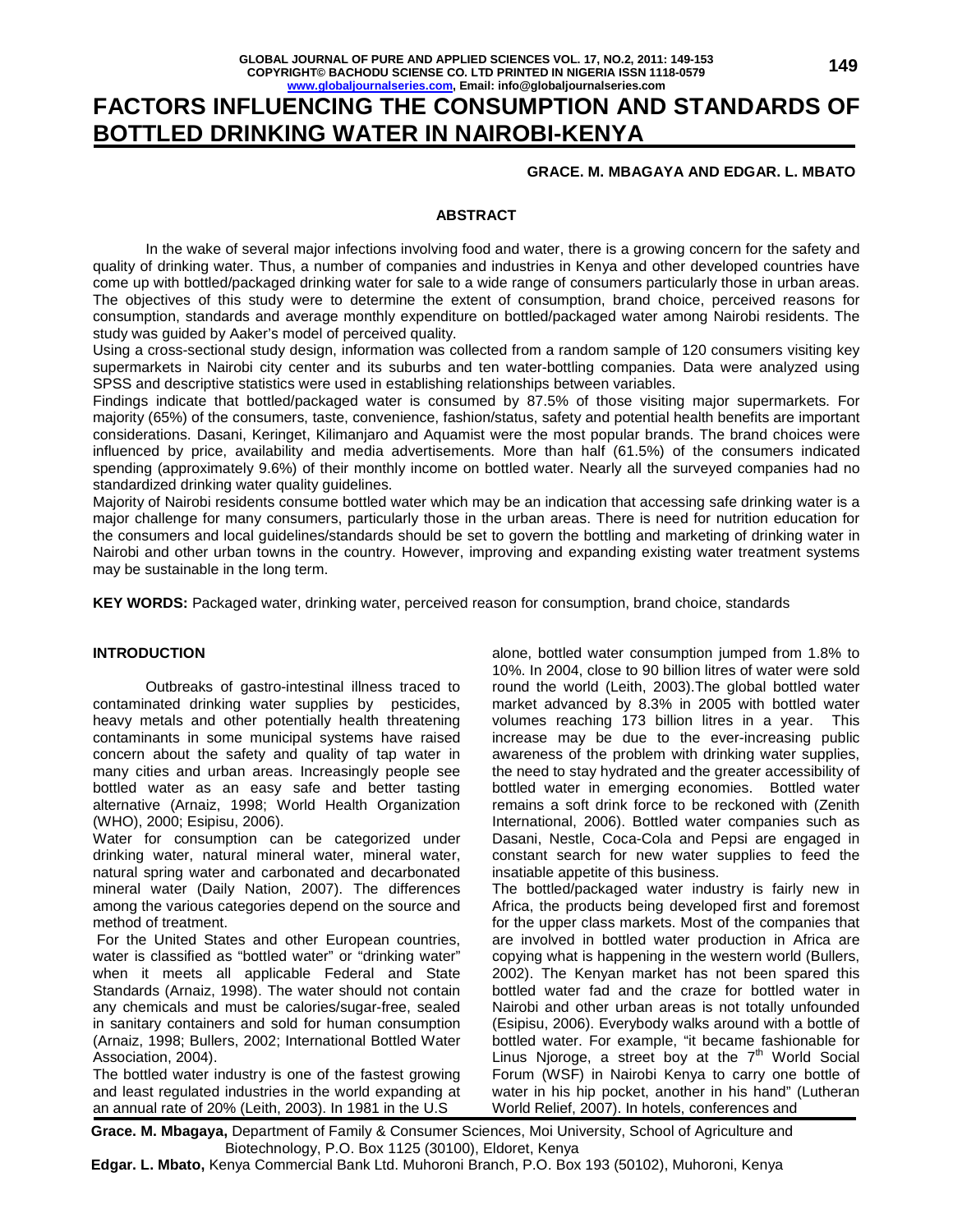# **FACTORS INFLUENCING THE CONSUMPTION AND STANDARDS OF BOTTLED DRINKING WATER IN NAIROBI-KENYA**

# **GRACE. M. MBAGAYA AND EDGAR. L. MBATO**

# **ABSTRACT**

 In the wake of several major infections involving food and water, there is a growing concern for the safety and quality of drinking water. Thus, a number of companies and industries in Kenya and other developed countries have come up with bottled/packaged drinking water for sale to a wide range of consumers particularly those in urban areas. The objectives of this study were to determine the extent of consumption, brand choice, perceived reasons for consumption, standards and average monthly expenditure on bottled/packaged water among Nairobi residents. The study was guided by Aaker's model of perceived quality.

Using a cross-sectional study design, information was collected from a random sample of 120 consumers visiting key supermarkets in Nairobi city center and its suburbs and ten water-bottling companies. Data were analyzed using SPSS and descriptive statistics were used in establishing relationships between variables.

Findings indicate that bottled/packaged water is consumed by 87.5% of those visiting major supermarkets. For majority (65%) of the consumers, taste, convenience, fashion/status, safety and potential health benefits are important considerations. Dasani, Keringet, Kilimanjaro and Aquamist were the most popular brands. The brand choices were influenced by price, availability and media advertisements. More than half (61.5%) of the consumers indicated spending (approximately 9.6%) of their monthly income on bottled water. Nearly all the surveyed companies had no standardized drinking water quality guidelines.

Majority of Nairobi residents consume bottled water which may be an indication that accessing safe drinking water is a major challenge for many consumers, particularly those in the urban areas. There is need for nutrition education for the consumers and local guidelines/standards should be set to govern the bottling and marketing of drinking water in Nairobi and other urban towns in the country. However, improving and expanding existing water treatment systems may be sustainable in the long term.

**KEY WORDS:** Packaged water, drinking water, perceived reason for consumption, brand choice, standards

### **INTRODUCTION**

 Outbreaks of gastro-intestinal illness traced to contaminated drinking water supplies by pesticides, heavy metals and other potentially health threatening contaminants in some municipal systems have raised concern about the safety and quality of tap water in many cities and urban areas. Increasingly people see bottled water as an easy safe and better tasting alternative (Arnaiz, 1998; World Health Organization (WHO), 2000; Esipisu, 2006).

Water for consumption can be categorized under drinking water, natural mineral water, mineral water, natural spring water and carbonated and decarbonated mineral water (Daily Nation, 2007). The differences among the various categories depend on the source and method of treatment.

 For the United States and other European countries, water is classified as "bottled water" or "drinking water" when it meets all applicable Federal and State Standards (Arnaiz, 1998). The water should not contain any chemicals and must be calories/sugar-free, sealed in sanitary containers and sold for human consumption (Arnaiz, 1998; Bullers, 2002; International Bottled Water Association, 2004).

The bottled water industry is one of the fastest growing and least regulated industries in the world expanding at an annual rate of 20% (Leith, 2003). In 1981 in the U.S

alone, bottled water consumption jumped from 1.8% to 10%. In 2004, close to 90 billion litres of water were sold round the world (Leith, 2003).The global bottled water market advanced by 8.3% in 2005 with bottled water volumes reaching 173 billion litres in a year. This increase may be due to the ever-increasing public awareness of the problem with drinking water supplies, the need to stay hydrated and the greater accessibility of bottled water in emerging economies. Bottled water remains a soft drink force to be reckoned with (Zenith International, 2006). Bottled water companies such as Dasani, Nestle, Coca-Cola and Pepsi are engaged in constant search for new water supplies to feed the insatiable appetite of this business.

The bottled/packaged water industry is fairly new in Africa, the products being developed first and foremost for the upper class markets. Most of the companies that are involved in bottled water production in Africa are copying what is happening in the western world (Bullers, 2002). The Kenyan market has not been spared this bottled water fad and the craze for bottled water in Nairobi and other urban areas is not totally unfounded (Esipisu, 2006). Everybody walks around with a bottle of bottled water. For example, "it became fashionable for Linus Njoroge, a street boy at the  $7<sup>th</sup>$  World Social Forum (WSF) in Nairobi Kenya to carry one bottle of water in his hip pocket, another in his hand" (Lutheran World Relief, 2007). In hotels, conferences and

**Grace. M. Mbagaya,** Department of Family & Consumer Sciences, Moi University, School of Agriculture and Biotechnology, P.O. Box 1125 (30100), Eldoret, Kenya

**Edgar. L. Mbato,** Kenya Commercial Bank Ltd. Muhoroni Branch, P.O. Box 193 (50102), Muhoroni, Kenya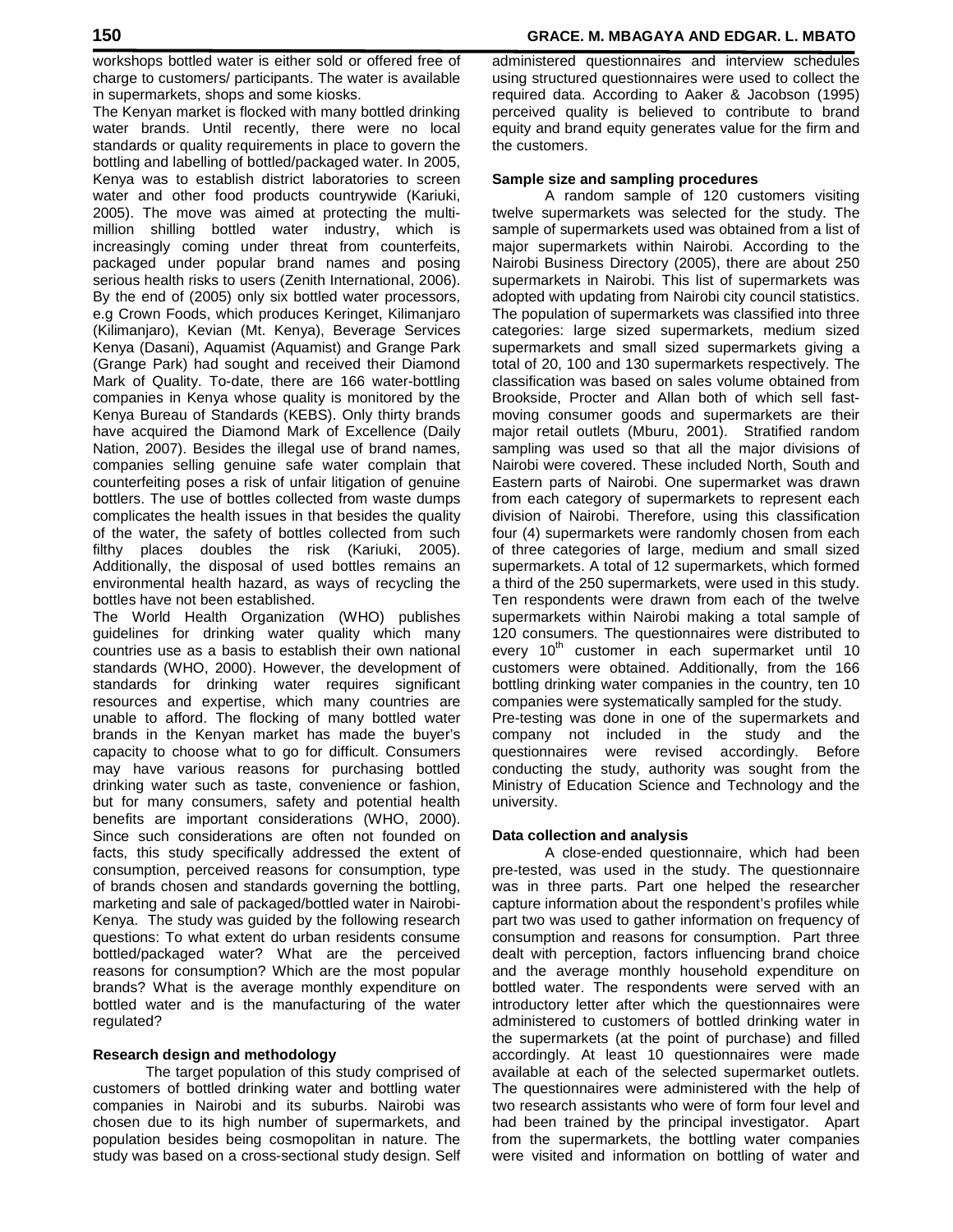workshops bottled water is either sold or offered free of charge to customers/ participants. The water is available in supermarkets, shops and some kiosks.

The Kenyan market is flocked with many bottled drinking water brands. Until recently, there were no local standards or quality requirements in place to govern the bottling and labelling of bottled/packaged water. In 2005, Kenya was to establish district laboratories to screen water and other food products countrywide (Kariuki, 2005). The move was aimed at protecting the multimillion shilling bottled water industry, which is increasingly coming under threat from counterfeits, packaged under popular brand names and posing serious health risks to users (Zenith International, 2006). By the end of (2005) only six bottled water processors, e.g Crown Foods, which produces Keringet, Kilimanjaro (Kilimanjaro), Kevian (Mt. Kenya), Beverage Services Kenya (Dasani), Aquamist (Aquamist) and Grange Park (Grange Park) had sought and received their Diamond Mark of Quality. To-date, there are 166 water-bottling companies in Kenya whose quality is monitored by the Kenya Bureau of Standards (KEBS). Only thirty brands have acquired the Diamond Mark of Excellence (Daily Nation, 2007). Besides the illegal use of brand names, companies selling genuine safe water complain that counterfeiting poses a risk of unfair litigation of genuine bottlers. The use of bottles collected from waste dumps complicates the health issues in that besides the quality of the water, the safety of bottles collected from such filthy places doubles the risk (Kariuki, 2005). Additionally, the disposal of used bottles remains an environmental health hazard, as ways of recycling the bottles have not been established.

The World Health Organization (WHO) publishes guidelines for drinking water quality which many countries use as a basis to establish their own national standards (WHO, 2000). However, the development of standards for drinking water requires significant resources and expertise, which many countries are unable to afford. The flocking of many bottled water brands in the Kenyan market has made the buyer's capacity to choose what to go for difficult. Consumers may have various reasons for purchasing bottled drinking water such as taste, convenience or fashion, but for many consumers, safety and potential health benefits are important considerations (WHO, 2000). Since such considerations are often not founded on facts, this study specifically addressed the extent of consumption, perceived reasons for consumption, type of brands chosen and standards governing the bottling, marketing and sale of packaged/bottled water in Nairobi-Kenya. The study was guided by the following research questions: To what extent do urban residents consume bottled/packaged water? What are the perceived reasons for consumption? Which are the most popular brands? What is the average monthly expenditure on bottled water and is the manufacturing of the water regulated?

# **Research design and methodology**

 The target population of this study comprised of customers of bottled drinking water and bottling water companies in Nairobi and its suburbs. Nairobi was chosen due to its high number of supermarkets, and population besides being cosmopolitan in nature. The study was based on a cross-sectional study design. Self administered questionnaires and interview schedules using structured questionnaires were used to collect the required data. According to Aaker & Jacobson (1995) perceived quality is believed to contribute to brand equity and brand equity generates value for the firm and the customers.

# **Sample size and sampling procedures**

 A random sample of 120 customers visiting twelve supermarkets was selected for the study. The sample of supermarkets used was obtained from a list of major supermarkets within Nairobi. According to the Nairobi Business Directory (2005), there are about 250 supermarkets in Nairobi. This list of supermarkets was adopted with updating from Nairobi city council statistics. The population of supermarkets was classified into three categories: large sized supermarkets, medium sized supermarkets and small sized supermarkets giving a total of 20, 100 and 130 supermarkets respectively. The classification was based on sales volume obtained from Brookside, Procter and Allan both of which sell fastmoving consumer goods and supermarkets are their major retail outlets (Mburu, 2001). Stratified random sampling was used so that all the major divisions of Nairobi were covered. These included North, South and Eastern parts of Nairobi. One supermarket was drawn from each category of supermarkets to represent each division of Nairobi. Therefore, using this classification four (4) supermarkets were randomly chosen from each of three categories of large, medium and small sized supermarkets. A total of 12 supermarkets, which formed a third of the 250 supermarkets, were used in this study. Ten respondents were drawn from each of the twelve supermarkets within Nairobi making a total sample of 120 consumers. The questionnaires were distributed to every  $10<sup>th</sup>$  customer in each supermarket until 10 customers were obtained. Additionally, from the 166 bottling drinking water companies in the country, ten 10 companies were systematically sampled for the study. Pre-testing was done in one of the supermarkets and company not included in the study and the questionnaires were revised accordingly. Before conducting the study, authority was sought from the Ministry of Education Science and Technology and the university.

# **Data collection and analysis**

 A close-ended questionnaire, which had been pre-tested, was used in the study. The questionnaire was in three parts. Part one helped the researcher capture information about the respondent's profiles while part two was used to gather information on frequency of consumption and reasons for consumption. Part three dealt with perception, factors influencing brand choice and the average monthly household expenditure on bottled water. The respondents were served with an introductory letter after which the questionnaires were administered to customers of bottled drinking water in the supermarkets (at the point of purchase) and filled accordingly. At least 10 questionnaires were made available at each of the selected supermarket outlets. The questionnaires were administered with the help of two research assistants who were of form four level and had been trained by the principal investigator. Apart from the supermarkets, the bottling water companies were visited and information on bottling of water and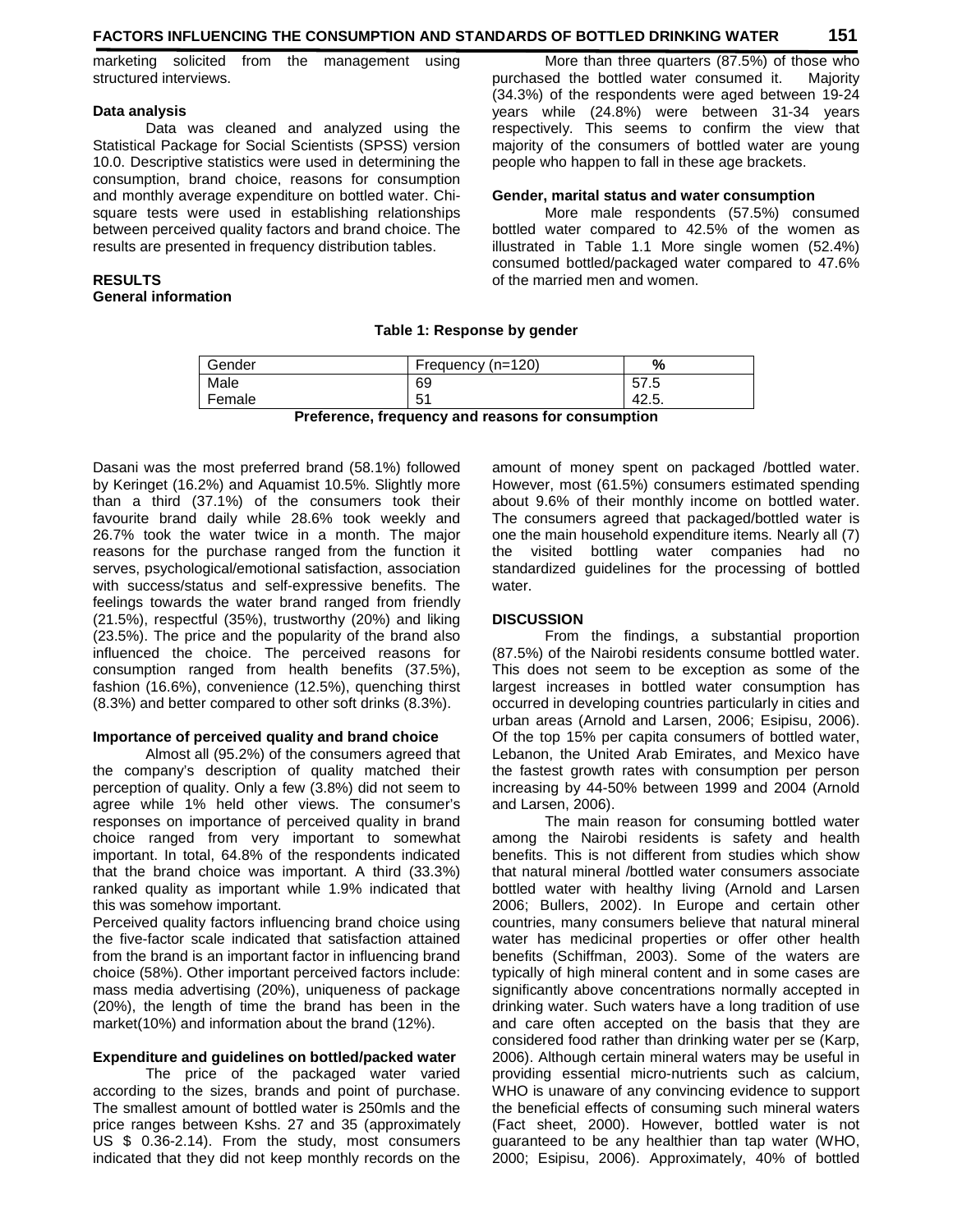marketing solicited from the management using structured interviews.

#### **Data analysis**

 Data was cleaned and analyzed using the Statistical Package for Social Scientists (SPSS) version 10.0. Descriptive statistics were used in determining the consumption, brand choice, reasons for consumption and monthly average expenditure on bottled water. Chisquare tests were used in establishing relationships between perceived quality factors and brand choice. The results are presented in frequency distribution tables.

## **RESULTS General information**

 More than three quarters (87.5%) of those who purchased the bottled water consumed it. Majority (34.3%) of the respondents were aged between 19-24 years while (24.8%) were between 31-34 years respectively. This seems to confirm the view that majority of the consumers of bottled water are young people who happen to fall in these age brackets.

#### **Gender, marital status and water consumption**

 More male respondents (57.5%) consumed bottled water compared to 42.5% of the women as illustrated in Table 1.1 More single women (52.4%) consumed bottled/packaged water compared to 47.6% of the married men and women.

#### **Table 1: Response by gender**

| Gender |     | Frequency (n=120) | %     |
|--------|-----|-------------------|-------|
| Male   |     | 69                | 57.5  |
| Female |     | 51<br>ັບ ເ        | 42.5. |
|        | - - |                   | . .   |

**Preference, frequency and reasons for consumption** 

Dasani was the most preferred brand (58.1%) followed by Keringet (16.2%) and Aquamist 10.5%. Slightly more than a third (37.1%) of the consumers took their favourite brand daily while 28.6% took weekly and 26.7% took the water twice in a month. The major reasons for the purchase ranged from the function it serves, psychological/emotional satisfaction, association with success/status and self-expressive benefits. The feelings towards the water brand ranged from friendly (21.5%), respectful (35%), trustworthy (20%) and liking (23.5%). The price and the popularity of the brand also influenced the choice. The perceived reasons for consumption ranged from health benefits (37.5%), fashion (16.6%), convenience (12.5%), quenching thirst (8.3%) and better compared to other soft drinks (8.3%).

## **Importance of perceived quality and brand choice**

 Almost all (95.2%) of the consumers agreed that the company's description of quality matched their perception of quality. Only a few (3.8%) did not seem to agree while 1% held other views. The consumer's responses on importance of perceived quality in brand choice ranged from very important to somewhat important. In total, 64.8% of the respondents indicated that the brand choice was important. A third (33.3%) ranked quality as important while 1.9% indicated that this was somehow important.

Perceived quality factors influencing brand choice using the five-factor scale indicated that satisfaction attained from the brand is an important factor in influencing brand choice (58%). Other important perceived factors include: mass media advertising (20%), uniqueness of package (20%), the length of time the brand has been in the market(10%) and information about the brand (12%).

#### **Expenditure and guidelines on bottled/packed water**

 The price of the packaged water varied according to the sizes, brands and point of purchase. The smallest amount of bottled water is 250mls and the price ranges between Kshs. 27 and 35 (approximately US \$ 0.36-2.14). From the study, most consumers indicated that they did not keep monthly records on the

amount of money spent on packaged /bottled water. However, most (61.5%) consumers estimated spending about 9.6% of their monthly income on bottled water. The consumers agreed that packaged/bottled water is one the main household expenditure items. Nearly all (7) the visited bottling water companies had no standardized guidelines for the processing of bottled water.

## **DISCUSSION**

 From the findings, a substantial proportion (87.5%) of the Nairobi residents consume bottled water. This does not seem to be exception as some of the largest increases in bottled water consumption has occurred in developing countries particularly in cities and urban areas (Arnold and Larsen, 2006; Esipisu, 2006). Of the top 15% per capita consumers of bottled water, Lebanon, the United Arab Emirates, and Mexico have the fastest growth rates with consumption per person increasing by 44-50% between 1999 and 2004 (Arnold and Larsen, 2006).

 The main reason for consuming bottled water among the Nairobi residents is safety and health benefits. This is not different from studies which show that natural mineral /bottled water consumers associate bottled water with healthy living (Arnold and Larsen 2006; Bullers, 2002). In Europe and certain other countries, many consumers believe that natural mineral water has medicinal properties or offer other health benefits (Schiffman, 2003). Some of the waters are typically of high mineral content and in some cases are significantly above concentrations normally accepted in drinking water. Such waters have a long tradition of use and care often accepted on the basis that they are considered food rather than drinking water per se (Karp, 2006). Although certain mineral waters may be useful in providing essential micro-nutrients such as calcium, WHO is unaware of any convincing evidence to support the beneficial effects of consuming such mineral waters (Fact sheet, 2000). However, bottled water is not guaranteed to be any healthier than tap water (WHO, 2000; Esipisu, 2006). Approximately, 40% of bottled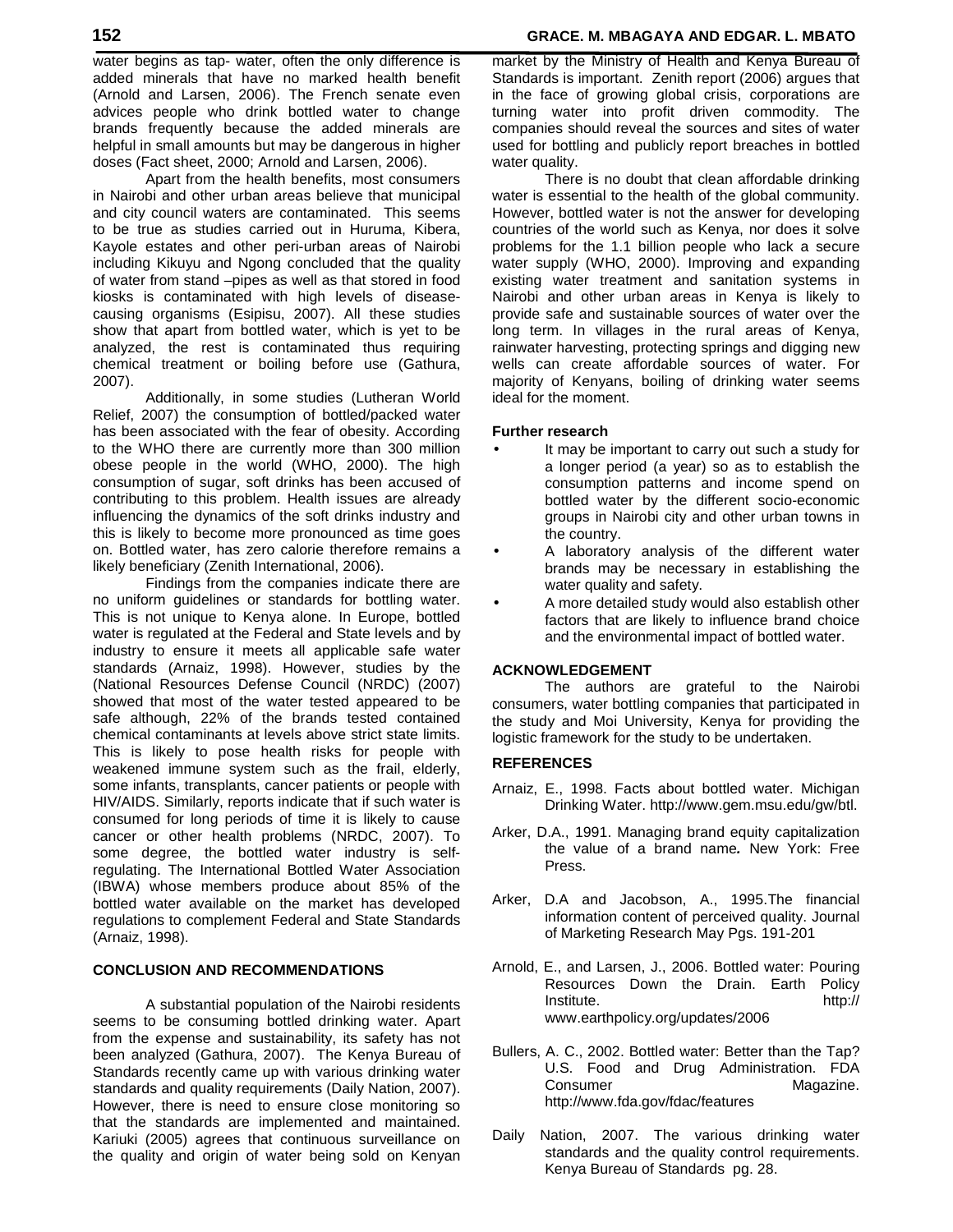water begins as tap- water, often the only difference is added minerals that have no marked health benefit (Arnold and Larsen, 2006). The French senate even advices people who drink bottled water to change brands frequently because the added minerals are helpful in small amounts but may be dangerous in higher doses (Fact sheet, 2000; Arnold and Larsen, 2006).

 Apart from the health benefits, most consumers in Nairobi and other urban areas believe that municipal and city council waters are contaminated. This seems to be true as studies carried out in Huruma, Kibera, Kayole estates and other peri-urban areas of Nairobi including Kikuyu and Ngong concluded that the quality of water from stand –pipes as well as that stored in food kiosks is contaminated with high levels of diseasecausing organisms (Esipisu, 2007). All these studies show that apart from bottled water, which is yet to be analyzed, the rest is contaminated thus requiring chemical treatment or boiling before use (Gathura, 2007).

 Additionally, in some studies (Lutheran World Relief, 2007) the consumption of bottled/packed water has been associated with the fear of obesity. According to the WHO there are currently more than 300 million obese people in the world (WHO, 2000). The high consumption of sugar, soft drinks has been accused of contributing to this problem. Health issues are already influencing the dynamics of the soft drinks industry and this is likely to become more pronounced as time goes on. Bottled water, has zero calorie therefore remains a likely beneficiary (Zenith International, 2006).

 Findings from the companies indicate there are no uniform guidelines or standards for bottling water. This is not unique to Kenya alone. In Europe, bottled water is regulated at the Federal and State levels and by industry to ensure it meets all applicable safe water standards (Arnaiz, 1998). However, studies by the (National Resources Defense Council (NRDC) (2007) showed that most of the water tested appeared to be safe although, 22% of the brands tested contained chemical contaminants at levels above strict state limits. This is likely to pose health risks for people with weakened immune system such as the frail, elderly, some infants, transplants, cancer patients or people with HIV/AIDS. Similarly, reports indicate that if such water is consumed for long periods of time it is likely to cause cancer or other health problems (NRDC, 2007). To some degree, the bottled water industry is selfregulating. The International Bottled Water Association (IBWA) whose members produce about 85% of the bottled water available on the market has developed regulations to complement Federal and State Standards (Arnaiz, 1998).

# **CONCLUSION AND RECOMMENDATIONS**

 A substantial population of the Nairobi residents seems to be consuming bottled drinking water. Apart from the expense and sustainability, its safety has not been analyzed (Gathura, 2007). The Kenya Bureau of Standards recently came up with various drinking water standards and quality requirements (Daily Nation, 2007). However, there is need to ensure close monitoring so that the standards are implemented and maintained. Kariuki (2005) agrees that continuous surveillance on the quality and origin of water being sold on Kenyan market by the Ministry of Health and Kenya Bureau of Standards is important. Zenith report (2006) argues that in the face of growing global crisis, corporations are turning water into profit driven commodity. The companies should reveal the sources and sites of water used for bottling and publicly report breaches in bottled water quality.

 There is no doubt that clean affordable drinking water is essential to the health of the global community. However, bottled water is not the answer for developing countries of the world such as Kenya, nor does it solve problems for the 1.1 billion people who lack a secure water supply (WHO, 2000). Improving and expanding existing water treatment and sanitation systems in Nairobi and other urban areas in Kenya is likely to provide safe and sustainable sources of water over the long term. In villages in the rural areas of Kenya, rainwater harvesting, protecting springs and digging new wells can create affordable sources of water. For majority of Kenyans, boiling of drinking water seems ideal for the moment.

#### **Further research**

- It may be important to carry out such a study for a longer period (a year) so as to establish the consumption patterns and income spend on bottled water by the different socio-economic groups in Nairobi city and other urban towns in the country.
- A laboratory analysis of the different water brands may be necessary in establishing the water quality and safety.
- A more detailed study would also establish other factors that are likely to influence brand choice and the environmental impact of bottled water.

#### **ACKNOWLEDGEMENT**

 The authors are grateful to the Nairobi consumers, water bottling companies that participated in the study and Moi University, Kenya for providing the logistic framework for the study to be undertaken.

#### **REFERENCES**

- Arnaiz, E., 1998. Facts about bottled water. Michigan Drinking Water. http://www.gem.msu.edu/gw/btl.
- Arker, D.A., 1991. Managing brand equity capitalization the value of a brand name**.** New York: Free Press.
- Arker, D.A and Jacobson, A., 1995.The financial information content of perceived quality. Journal of Marketing Research May Pgs. 191-201
- Arnold, E., and Larsen, J., 2006. Bottled water: Pouring Resources Down the Drain. Earth Policy Institute. http:// www.earthpolicy.org/updates/2006
- Bullers, A. C., 2002. Bottled water: Better than the Tap? U.S. Food and Drug Administration. FDA Consumer Magazine. http://www.fda.gov/fdac/features
- Daily Nation, 2007. The various drinking water standards and the quality control requirements. Kenya Bureau of Standards pg. 28.